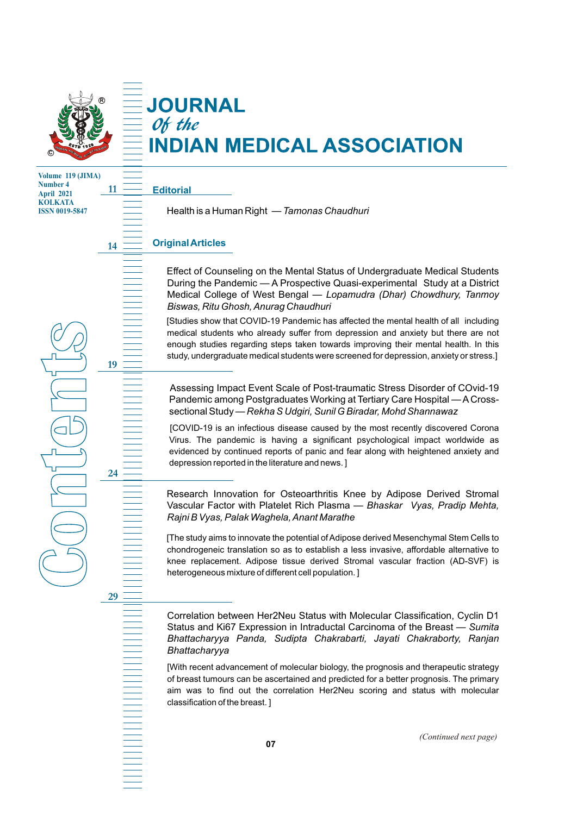

**11**

**14**

**19**

**24**

**29**

# **JOURNAL** Of the **INDIAN MEDICAL ASSOCIATION**

**Volume 119 (JIMA) Number 4 April 2021 KOLKATA ISSN 0019-5847**

**C**

**o**

**n** 

**t**<br> **t**<br> **t**<br> **t**<br> **t**<br> **t**<br> **d**<br> **d** 

**e**

**n** 

**t**<br>Turkiya —

**s**

#### **Editorial**

Health is a Human Right — *Tamonas Chaudhuri*

# **Original Articles**

Effect of Counseling on the Mental Status of Undergraduate Medical Students During the Pandemic — A Prospective Quasi-experimental Study at a District Medical College of West Bengal — *Lopamudra (Dhar) Chowdhury, Tanmoy Biswas, Ritu Ghosh, Anurag Chaudhuri*

[Studies show that COVID-19 Pandemic has affected the mental health of all including medical students who already suffer from depression and anxiety but there are not enough studies regarding steps taken towards improving their mental health. In this study, undergraduate medical students were screened for depression, anxiety or stress.]

Assessing Impact Event Scale of Post-traumatic Stress Disorder of COvid-19 Pandemic among Postgraduates Working at Tertiary Care Hospital — A Crosssectional Study — *Rekha S Udgiri, Sunil G Biradar, Mohd Shannawaz*

[COVID-19 is an infectious disease caused by the most recently discovered Corona Virus. The pandemic is having a significant psychological impact worldwide as evidenced by continued reports of panic and fear along with heightened anxiety and depression reported in the literature and news. ]

Research Innovation for Osteoarthritis Knee by Adipose Derived Stromal Vascular Factor with Platelet Rich Plasma — *Bhaskar Vyas, Pradip Mehta, Rajni B Vyas, Palak Waghela, Anant Marathe*

[The study aims to innovate the potential of Adipose derived Mesenchymal Stem Cells to chondrogeneic translation so as to establish a less invasive, affordable alternative to knee replacement. Adipose tissue derived Stromal vascular fraction (AD-SVF) is heterogeneous mixture of different cell population. ]

Correlation between Her2Neu Status with Molecular Classification, Cyclin D1 Status and Ki67 Expression in Intraductal Carcinoma of the Breast — *Sumita Bhattacharyya Panda, Sudipta Chakrabarti, Jayati Chakraborty, Ranjan Bhattacharyya*

[With recent advancement of molecular biology, the prognosis and therapeutic strategy of breast tumours can be ascertained and predicted for a better prognosis. The primary aim was to find out the correlation Her2Neu scoring and status with molecular classification of the breast. ]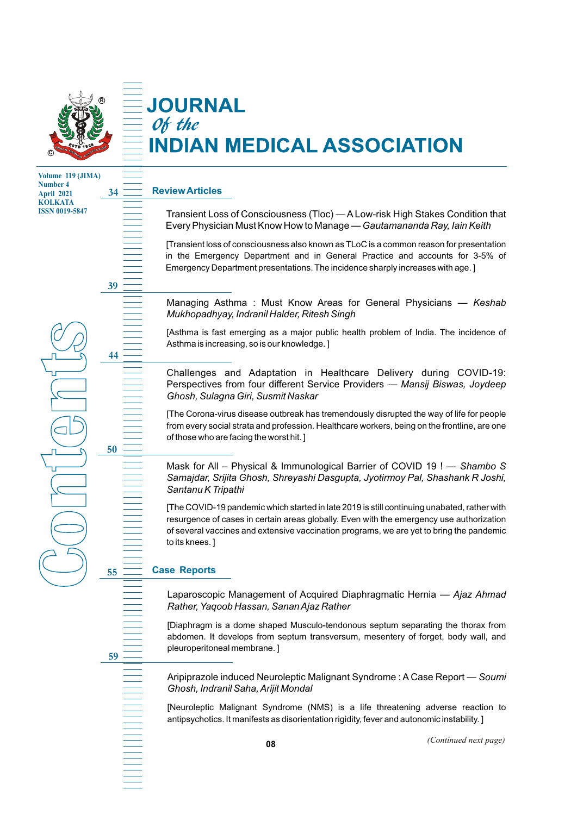

**Volume 119 (JIMA) Number 4 April 2021 KOLKATA ISSN 0019-5847**

# **JOURNAL** Of the **INDIAN MEDICAL ASSOCIATION**

## **Review Articles**

Transient Loss of Consciousness (Tloc) — ALow-risk High Stakes Condition that Every Physician Must Know How to Manage — *Gautamananda Ray, Iain Keith*

[Transient loss of consciousness also known as TLoC is a common reason for presentation in the Emergency Department and in General Practice and accounts for 3-5% of Emergency Department presentations. The incidence sharply increases with age. ]

Managing Asthma : Must Know Areas for General Physicians — *Keshab Mukhopadhyay, Indranil Halder, Ritesh Singh*

[Asthma is fast emerging as a major public health problem of India. The incidence of Asthma is increasing, so is our knowledge. ]

Challenges and Adaptation in Healthcare Delivery during COVID-19: Perspectives from four different Service Providers — *Mansij Biswas, Joydeep Ghosh, Sulagna Giri, Susmit Naskar*

[The Corona-virus disease outbreak has tremendously disrupted the way of life for people from every social strata and profession. Healthcare workers, being on the frontline, are one of those who are facing the worst hit. ]

Mask for All – Physical & Immunological Barrier of COVID 19 ! — *Shambo S Samajdar, Srijita Ghosh, Shreyashi Dasgupta, Jyotirmoy Pal, Shashank R Joshi, Santanu K Tripathi*

[The COVID-19 pandemic which started in late 2019 is still continuing unabated, rather with resurgence of cases in certain areas globally. Even with the emergency use authorization of several vaccines and extensive vaccination programs, we are yet to bring the pandemic to its knees. ]

### **Case Reports**

Laparoscopic Management of Acquired Diaphragmatic Hernia — *Ajaz Ahmad Rather, Yaqoob Hassan, Sanan Ajaz Rather*

[Diaphragm is a dome shaped Musculo-tendonous septum separating the thorax from abdomen. It develops from septum transversum, mesentery of forget, body wall, and pleuroperitoneal membrane. ]

**59**

**C**

**o**

**n** 

**t**<br>The discrete discrete discrete discrete discrete discrete discrete discrete discrete discrete discrete discret<br>Separa discrete discrete discrete discrete discrete discrete di second discrete discrete discrete discrete

**e**

**n** 

**t**<br>The discrete discrete discrete discrete discrete discrete discrete discrete discrete discrete discrete discret<br>Separate discrete discrete discrete discrete discrete discrete discrete discrete discrete discrete discrete

**39**

**34**

**44**

**50**

**55**

**s**

Aripiprazole induced Neuroleptic Malignant Syndrome : A Case Report — *Soumi Ghosh, Indranil Saha, Arijit Mondal*

[Neuroleptic Malignant Syndrome (NMS) is a life threatening adverse reaction to antipsychotics. It manifests as disorientation rigidity, fever and autonomic instability. ]